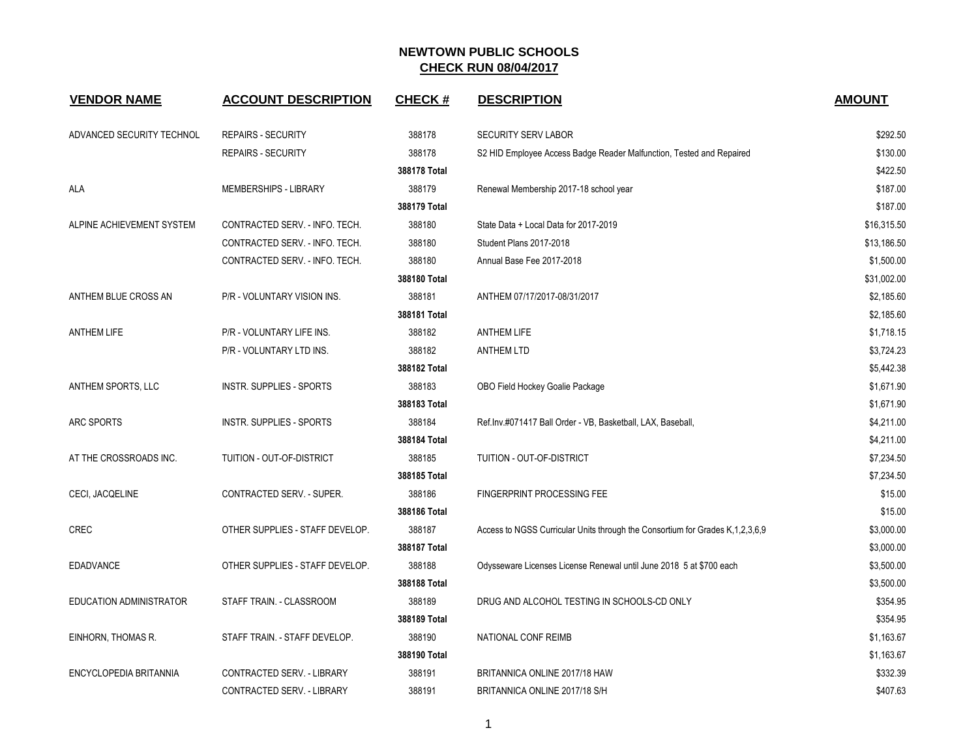| <b>VENDOR NAME</b>             | <b>ACCOUNT DESCRIPTION</b>      | <b>CHECK#</b> | <b>DESCRIPTION</b>                                                                 | <b>AMOUNT</b> |
|--------------------------------|---------------------------------|---------------|------------------------------------------------------------------------------------|---------------|
| ADVANCED SECURITY TECHNOL      | <b>REPAIRS - SECURITY</b>       | 388178        | <b>SECURITY SERV LABOR</b>                                                         | \$292.50      |
|                                | <b>REPAIRS - SECURITY</b>       | 388178        | S2 HID Employee Access Badge Reader Malfunction, Tested and Repaired               | \$130.00      |
|                                |                                 | 388178 Total  |                                                                                    | \$422.50      |
| ALA                            | MEMBERSHIPS - LIBRARY           | 388179        | Renewal Membership 2017-18 school year                                             | \$187.00      |
|                                |                                 | 388179 Total  |                                                                                    | \$187.00      |
| ALPINE ACHIEVEMENT SYSTEM      | CONTRACTED SERV. - INFO. TECH.  | 388180        | State Data + Local Data for 2017-2019                                              | \$16,315.50   |
|                                | CONTRACTED SERV. - INFO. TECH.  | 388180        | Student Plans 2017-2018                                                            | \$13,186.50   |
|                                | CONTRACTED SERV. - INFO. TECH.  | 388180        | Annual Base Fee 2017-2018                                                          | \$1,500.00    |
|                                |                                 | 388180 Total  |                                                                                    | \$31,002.00   |
| ANTHEM BLUE CROSS AN           | P/R - VOLUNTARY VISION INS.     | 388181        | ANTHEM 07/17/2017-08/31/2017                                                       | \$2,185.60    |
|                                |                                 | 388181 Total  |                                                                                    | \$2,185.60    |
| <b>ANTHEM LIFE</b>             | P/R - VOLUNTARY LIFE INS.       | 388182        | <b>ANTHEM LIFE</b>                                                                 | \$1,718.15    |
|                                | P/R - VOLUNTARY LTD INS.        | 388182        | <b>ANTHEM LTD</b>                                                                  | \$3,724.23    |
|                                |                                 | 388182 Total  |                                                                                    | \$5,442.38    |
| ANTHEM SPORTS, LLC             | <b>INSTR. SUPPLIES - SPORTS</b> | 388183        | OBO Field Hockey Goalie Package                                                    | \$1,671.90    |
|                                |                                 | 388183 Total  |                                                                                    | \$1,671.90    |
| <b>ARC SPORTS</b>              | INSTR. SUPPLIES - SPORTS        | 388184        | Ref.lnv.#071417 Ball Order - VB, Basketball, LAX, Baseball,                        | \$4,211.00    |
|                                |                                 | 388184 Total  |                                                                                    | \$4,211.00    |
| AT THE CROSSROADS INC.         | TUITION - OUT-OF-DISTRICT       | 388185        | TUITION - OUT-OF-DISTRICT                                                          | \$7,234.50    |
|                                |                                 | 388185 Total  |                                                                                    | \$7,234.50    |
| CECI, JACQELINE                | CONTRACTED SERV. - SUPER.       | 388186        | <b>FINGERPRINT PROCESSING FEE</b>                                                  | \$15.00       |
|                                |                                 | 388186 Total  |                                                                                    | \$15.00       |
| <b>CREC</b>                    | OTHER SUPPLIES - STAFF DEVELOP. | 388187        | Access to NGSS Curricular Units through the Consortium for Grades K, 1, 2, 3, 6, 9 | \$3,000.00    |
|                                |                                 | 388187 Total  |                                                                                    | \$3,000.00    |
| <b>EDADVANCE</b>               | OTHER SUPPLIES - STAFF DEVELOP. | 388188        | Odysseware Licenses License Renewal until June 2018 5 at \$700 each                | \$3,500.00    |
|                                |                                 | 388188 Total  |                                                                                    | \$3,500.00    |
| <b>EDUCATION ADMINISTRATOR</b> | STAFF TRAIN. - CLASSROOM        | 388189        | DRUG AND ALCOHOL TESTING IN SCHOOLS-CD ONLY                                        | \$354.95      |
|                                |                                 | 388189 Total  |                                                                                    | \$354.95      |
| EINHORN, THOMAS R.             | STAFF TRAIN. - STAFF DEVELOP.   | 388190        | NATIONAL CONF REIMB                                                                | \$1,163.67    |
|                                |                                 | 388190 Total  |                                                                                    | \$1,163.67    |
| ENCYCLOPEDIA BRITANNIA         | CONTRACTED SERV. - LIBRARY      | 388191        | BRITANNICA ONLINE 2017/18 HAW                                                      | \$332.39      |
|                                | CONTRACTED SERV. - LIBRARY      | 388191        | BRITANNICA ONLINE 2017/18 S/H                                                      | \$407.63      |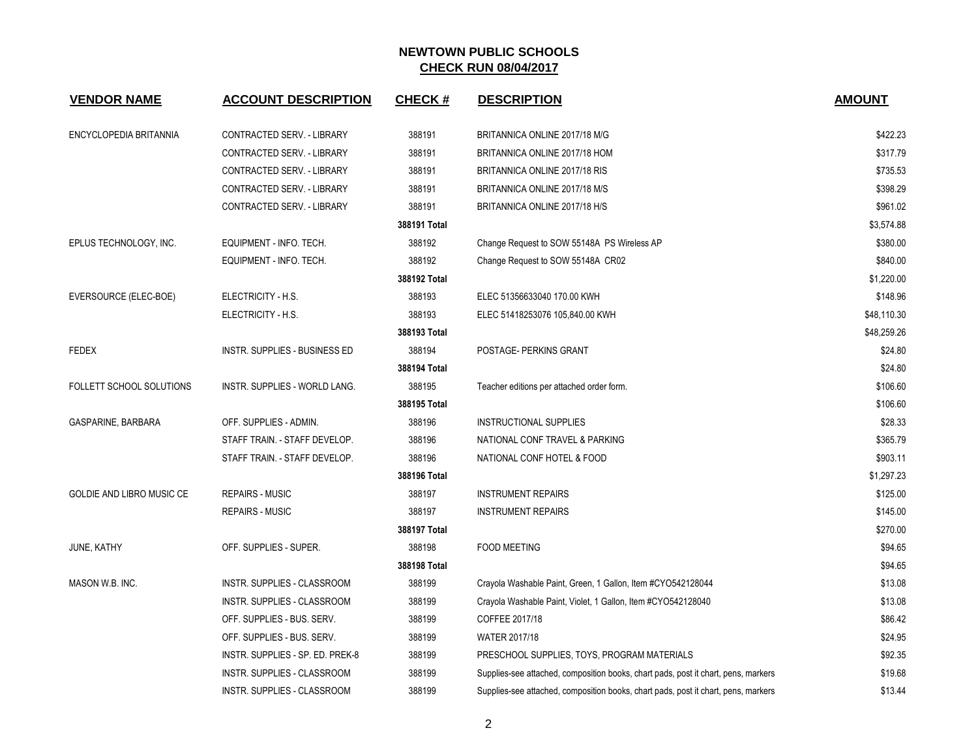| <b>VENDOR NAME</b>        | <b>ACCOUNT DESCRIPTION</b>        | <b>CHECK#</b> | <b>DESCRIPTION</b>                                                                 | <b>AMOUNT</b> |
|---------------------------|-----------------------------------|---------------|------------------------------------------------------------------------------------|---------------|
| ENCYCLOPEDIA BRITANNIA    | CONTRACTED SERV. - LIBRARY        | 388191        | BRITANNICA ONLINE 2017/18 M/G                                                      | \$422.23      |
|                           | CONTRACTED SERV. - LIBRARY        | 388191        | BRITANNICA ONLINE 2017/18 HOM                                                      | \$317.79      |
|                           | <b>CONTRACTED SERV. - LIBRARY</b> | 388191        | BRITANNICA ONLINE 2017/18 RIS                                                      | \$735.53      |
|                           | CONTRACTED SERV. - LIBRARY        | 388191        | BRITANNICA ONLINE 2017/18 M/S                                                      | \$398.29      |
|                           | CONTRACTED SERV. - LIBRARY        | 388191        | BRITANNICA ONLINE 2017/18 H/S                                                      | \$961.02      |
|                           |                                   | 388191 Total  |                                                                                    | \$3,574.88    |
| EPLUS TECHNOLOGY, INC.    | EQUIPMENT - INFO. TECH.           | 388192        | Change Request to SOW 55148A PS Wireless AP                                        | \$380.00      |
|                           | EQUIPMENT - INFO. TECH.           | 388192        | Change Request to SOW 55148A CR02                                                  | \$840.00      |
|                           |                                   | 388192 Total  |                                                                                    | \$1,220.00    |
| EVERSOURCE (ELEC-BOE)     | ELECTRICITY - H.S.                | 388193        | ELEC 51356633040 170.00 KWH                                                        | \$148.96      |
|                           | ELECTRICITY - H.S.                | 388193        | ELEC 51418253076 105,840.00 KWH                                                    | \$48,110.30   |
|                           |                                   | 388193 Total  |                                                                                    | \$48,259.26   |
| <b>FEDEX</b>              | INSTR. SUPPLIES - BUSINESS ED     | 388194        | POSTAGE- PERKINS GRANT                                                             | \$24.80       |
|                           |                                   | 388194 Total  |                                                                                    | \$24.80       |
| FOLLETT SCHOOL SOLUTIONS  | INSTR. SUPPLIES - WORLD LANG.     | 388195        | Teacher editions per attached order form.                                          | \$106.60      |
|                           |                                   | 388195 Total  |                                                                                    | \$106.60      |
| GASPARINE, BARBARA        | OFF. SUPPLIES - ADMIN.            | 388196        | <b>INSTRUCTIONAL SUPPLIES</b>                                                      | \$28.33       |
|                           | STAFF TRAIN. - STAFF DEVELOP.     | 388196        | NATIONAL CONF TRAVEL & PARKING                                                     | \$365.79      |
|                           | STAFF TRAIN. - STAFF DEVELOP.     | 388196        | NATIONAL CONF HOTEL & FOOD                                                         | \$903.11      |
|                           |                                   | 388196 Total  |                                                                                    | \$1,297.23    |
| GOLDIE AND LIBRO MUSIC CE | <b>REPAIRS - MUSIC</b>            | 388197        | <b>INSTRUMENT REPAIRS</b>                                                          | \$125.00      |
|                           | <b>REPAIRS - MUSIC</b>            | 388197        | <b>INSTRUMENT REPAIRS</b>                                                          | \$145.00      |
|                           |                                   | 388197 Total  |                                                                                    | \$270.00      |
| JUNE, KATHY               | OFF. SUPPLIES - SUPER.            | 388198        | <b>FOOD MEETING</b>                                                                | \$94.65       |
|                           |                                   | 388198 Total  |                                                                                    | \$94.65       |
| MASON W.B. INC.           | INSTR. SUPPLIES - CLASSROOM       | 388199        | Crayola Washable Paint, Green, 1 Gallon, Item #CYO542128044                        | \$13.08       |
|                           | INSTR. SUPPLIES - CLASSROOM       | 388199        | Crayola Washable Paint, Violet, 1 Gallon, Item #CYO542128040                       | \$13.08       |
|                           | OFF. SUPPLIES - BUS. SERV.        | 388199        | COFFEE 2017/18                                                                     | \$86.42       |
|                           | OFF. SUPPLIES - BUS. SERV.        | 388199        | WATER 2017/18                                                                      | \$24.95       |
|                           | INSTR. SUPPLIES - SP. ED. PREK-8  | 388199        | PRESCHOOL SUPPLIES, TOYS, PROGRAM MATERIALS                                        | \$92.35       |
|                           | INSTR. SUPPLIES - CLASSROOM       | 388199        | Supplies-see attached, composition books, chart pads, post it chart, pens, markers | \$19.68       |
|                           | INSTR. SUPPLIES - CLASSROOM       | 388199        | Supplies-see attached, composition books, chart pads, post it chart, pens, markers | \$13.44       |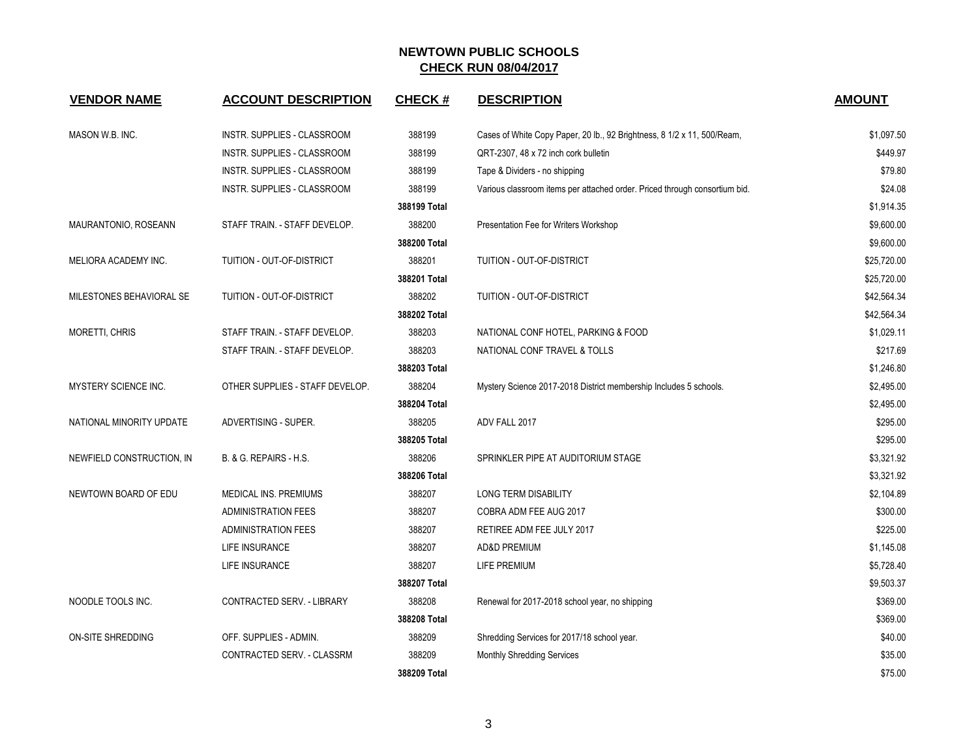| <b>VENDOR NAME</b>          | <b>ACCOUNT DESCRIPTION</b>      | <b>CHECK#</b> | <b>DESCRIPTION</b>                                                         | <b>AMOUNT</b> |
|-----------------------------|---------------------------------|---------------|----------------------------------------------------------------------------|---------------|
| MASON W.B. INC.             | INSTR. SUPPLIES - CLASSROOM     | 388199        | Cases of White Copy Paper, 20 lb., 92 Brightness, 8 1/2 x 11, 500/Ream,    | \$1,097.50    |
|                             | INSTR. SUPPLIES - CLASSROOM     | 388199        | QRT-2307, 48 x 72 inch cork bulletin                                       | \$449.97      |
|                             | INSTR. SUPPLIES - CLASSROOM     | 388199        | Tape & Dividers - no shipping                                              | \$79.80       |
|                             | INSTR. SUPPLIES - CLASSROOM     | 388199        | Various classroom items per attached order. Priced through consortium bid. | \$24.08       |
|                             |                                 | 388199 Total  |                                                                            | \$1,914.35    |
| MAURANTONIO, ROSEANN        | STAFF TRAIN. - STAFF DEVELOP.   | 388200        | Presentation Fee for Writers Workshop                                      | \$9,600.00    |
|                             |                                 | 388200 Total  |                                                                            | \$9,600.00    |
| MELIORA ACADEMY INC.        | TUITION - OUT-OF-DISTRICT       | 388201        | TUITION - OUT-OF-DISTRICT                                                  | \$25,720.00   |
|                             |                                 | 388201 Total  |                                                                            | \$25,720.00   |
| MILESTONES BEHAVIORAL SE    | TUITION - OUT-OF-DISTRICT       | 388202        | TUITION - OUT-OF-DISTRICT                                                  | \$42,564.34   |
|                             |                                 | 388202 Total  |                                                                            | \$42,564.34   |
| MORETTI, CHRIS              | STAFF TRAIN. - STAFF DEVELOP.   | 388203        | NATIONAL CONF HOTEL, PARKING & FOOD                                        | \$1,029.11    |
|                             | STAFF TRAIN. - STAFF DEVELOP.   | 388203        | NATIONAL CONF TRAVEL & TOLLS                                               | \$217.69      |
|                             |                                 | 388203 Total  |                                                                            | \$1,246.80    |
| <b>MYSTERY SCIENCE INC.</b> | OTHER SUPPLIES - STAFF DEVELOP. | 388204        | Mystery Science 2017-2018 District membership Includes 5 schools.          | \$2,495.00    |
|                             |                                 | 388204 Total  |                                                                            | \$2,495.00    |
| NATIONAL MINORITY UPDATE    | ADVERTISING - SUPER.            | 388205        | ADV FALL 2017                                                              | \$295.00      |
|                             |                                 | 388205 Total  |                                                                            | \$295.00      |
| NEWFIELD CONSTRUCTION, IN   | B. & G. REPAIRS - H.S.          | 388206        | SPRINKLER PIPE AT AUDITORIUM STAGE                                         | \$3,321.92    |
|                             |                                 | 388206 Total  |                                                                            | \$3,321.92    |
| NEWTOWN BOARD OF EDU        | <b>MEDICAL INS. PREMIUMS</b>    | 388207        | <b>LONG TERM DISABILITY</b>                                                | \$2,104.89    |
|                             | <b>ADMINISTRATION FEES</b>      | 388207        | COBRA ADM FEE AUG 2017                                                     | \$300.00      |
|                             | <b>ADMINISTRATION FEES</b>      | 388207        | RETIREE ADM FEE JULY 2017                                                  | \$225.00      |
|                             | LIFE INSURANCE                  | 388207        | <b>AD&amp;D PREMIUM</b>                                                    | \$1,145.08    |
|                             | LIFE INSURANCE                  | 388207        | LIFE PREMIUM                                                               | \$5,728.40    |
|                             |                                 | 388207 Total  |                                                                            | \$9,503.37    |
| NOODLE TOOLS INC.           | CONTRACTED SERV. - LIBRARY      | 388208        | Renewal for 2017-2018 school year, no shipping                             | \$369.00      |
|                             |                                 | 388208 Total  |                                                                            | \$369.00      |
| <b>ON-SITE SHREDDING</b>    | OFF. SUPPLIES - ADMIN.          | 388209        | Shredding Services for 2017/18 school year.                                | \$40.00       |
|                             | CONTRACTED SERV. - CLASSRM      | 388209        | <b>Monthly Shredding Services</b>                                          | \$35.00       |
|                             |                                 | 388209 Total  |                                                                            | \$75.00       |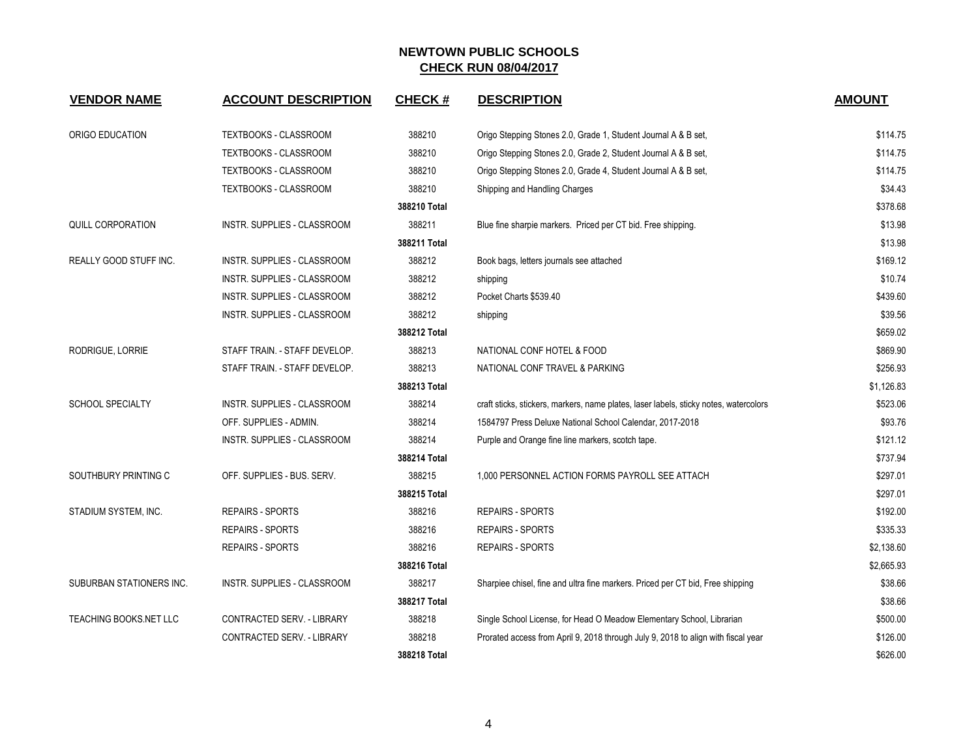| <b>VENDOR NAME</b>            | <b>ACCOUNT DESCRIPTION</b>         | <b>CHECK#</b> | <b>DESCRIPTION</b>                                                                    | <b>AMOUNT</b> |
|-------------------------------|------------------------------------|---------------|---------------------------------------------------------------------------------------|---------------|
| ORIGO EDUCATION               | TEXTBOOKS - CLASSROOM              | 388210        | Origo Stepping Stones 2.0, Grade 1, Student Journal A & B set,                        | \$114.75      |
|                               | TEXTBOOKS - CLASSROOM              | 388210        | Origo Stepping Stones 2.0, Grade 2, Student Journal A & B set,                        | \$114.75      |
|                               | TEXTBOOKS - CLASSROOM              | 388210        | Origo Stepping Stones 2.0, Grade 4, Student Journal A & B set,                        | \$114.75      |
|                               | TEXTBOOKS - CLASSROOM              | 388210        | Shipping and Handling Charges                                                         | \$34.43       |
|                               |                                    | 388210 Total  |                                                                                       | \$378.68      |
| QUILL CORPORATION             | INSTR. SUPPLIES - CLASSROOM        | 388211        | Blue fine sharpie markers. Priced per CT bid. Free shipping.                          | \$13.98       |
|                               |                                    | 388211 Total  |                                                                                       | \$13.98       |
| REALLY GOOD STUFF INC.        | <b>INSTR. SUPPLIES - CLASSROOM</b> | 388212        | Book bags, letters journals see attached                                              | \$169.12      |
|                               | <b>INSTR. SUPPLIES - CLASSROOM</b> | 388212        | shipping                                                                              | \$10.74       |
|                               | INSTR. SUPPLIES - CLASSROOM        | 388212        | Pocket Charts \$539.40                                                                | \$439.60      |
|                               | <b>INSTR. SUPPLIES - CLASSROOM</b> | 388212        | shipping                                                                              | \$39.56       |
|                               |                                    | 388212 Total  |                                                                                       | \$659.02      |
| RODRIGUE, LORRIE              | STAFF TRAIN. - STAFF DEVELOP.      | 388213        | NATIONAL CONF HOTEL & FOOD                                                            | \$869.90      |
|                               | STAFF TRAIN. - STAFF DEVELOP.      | 388213        | NATIONAL CONF TRAVEL & PARKING                                                        | \$256.93      |
|                               |                                    | 388213 Total  |                                                                                       | \$1,126.83    |
| <b>SCHOOL SPECIALTY</b>       | INSTR. SUPPLIES - CLASSROOM        | 388214        | craft sticks, stickers, markers, name plates, laser labels, sticky notes, watercolors | \$523.06      |
|                               | OFF. SUPPLIES - ADMIN.             | 388214        | 1584797 Press Deluxe National School Calendar, 2017-2018                              | \$93.76       |
|                               | INSTR. SUPPLIES - CLASSROOM        | 388214        | Purple and Orange fine line markers, scotch tape.                                     | \$121.12      |
|                               |                                    | 388214 Total  |                                                                                       | \$737.94      |
| SOUTHBURY PRINTING C          | OFF. SUPPLIES - BUS. SERV.         | 388215        | 1,000 PERSONNEL ACTION FORMS PAYROLL SEE ATTACH                                       | \$297.01      |
|                               |                                    | 388215 Total  |                                                                                       | \$297.01      |
| STADIUM SYSTEM, INC.          | <b>REPAIRS - SPORTS</b>            | 388216        | <b>REPAIRS - SPORTS</b>                                                               | \$192.00      |
|                               | <b>REPAIRS - SPORTS</b>            | 388216        | <b>REPAIRS - SPORTS</b>                                                               | \$335.33      |
|                               | <b>REPAIRS - SPORTS</b>            | 388216        | <b>REPAIRS - SPORTS</b>                                                               | \$2,138.60    |
|                               |                                    | 388216 Total  |                                                                                       | \$2,665.93    |
| SUBURBAN STATIONERS INC.      | INSTR. SUPPLIES - CLASSROOM        | 388217        | Sharpiee chisel, fine and ultra fine markers. Priced per CT bid, Free shipping        | \$38.66       |
|                               |                                    | 388217 Total  |                                                                                       | \$38.66       |
| <b>TEACHING BOOKS.NET LLC</b> | CONTRACTED SERV. - LIBRARY         | 388218        | Single School License, for Head O Meadow Elementary School, Librarian                 | \$500.00      |
|                               | CONTRACTED SERV. - LIBRARY         | 388218        | Prorated access from April 9, 2018 through July 9, 2018 to align with fiscal year     | \$126.00      |
|                               |                                    | 388218 Total  |                                                                                       | \$626.00      |